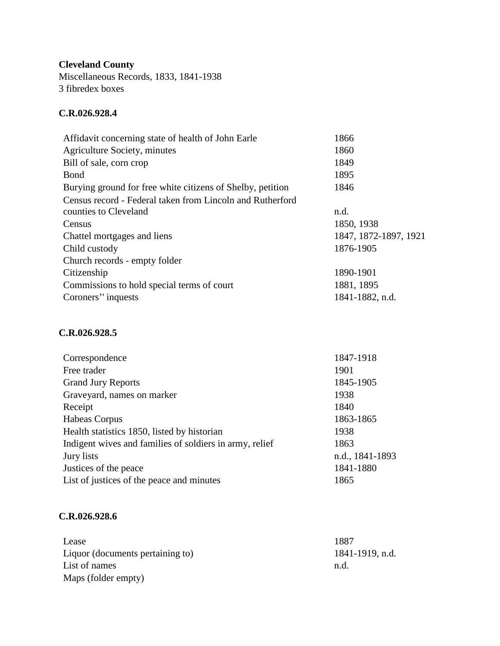**Cleveland County** Miscellaneous Records, 1833, 1841-1938 3 fibredex boxes

## **C.R.026.928.4**

| Affidavit concerning state of health of John Earle         | 1866                  |
|------------------------------------------------------------|-----------------------|
| Agriculture Society, minutes                               | 1860                  |
| Bill of sale, corn crop                                    | 1849                  |
| <b>Bond</b>                                                | 1895                  |
| Burying ground for free white citizens of Shelby, petition | 1846                  |
| Census record - Federal taken from Lincoln and Rutherford  |                       |
| counties to Cleveland                                      | n.d.                  |
| Census                                                     | 1850, 1938            |
| Chattel mortgages and liens                                | 1847, 1872-1897, 1921 |
| Child custody                                              | 1876-1905             |
| Church records - empty folder                              |                       |
| Citizenship                                                | 1890-1901             |
| Commissions to hold special terms of court                 | 1881, 1895            |
| Coroners' inquests                                         | 1841-1882, n.d.       |
|                                                            |                       |

## **C.R.026.928.5**

| 1847-1918       |
|-----------------|
| 1901            |
| 1845-1905       |
| 1938            |
| 1840            |
| 1863-1865       |
| 1938            |
| 1863            |
| n.d., 1841-1893 |
| 1841-1880       |
| 1865            |
|                 |

## **C.R.026.928.6**

| Lease                            | 1887            |
|----------------------------------|-----------------|
| Liquor (documents pertaining to) | 1841-1919, n.d. |
| List of names                    | n.d.            |
| Maps (folder empty)              |                 |